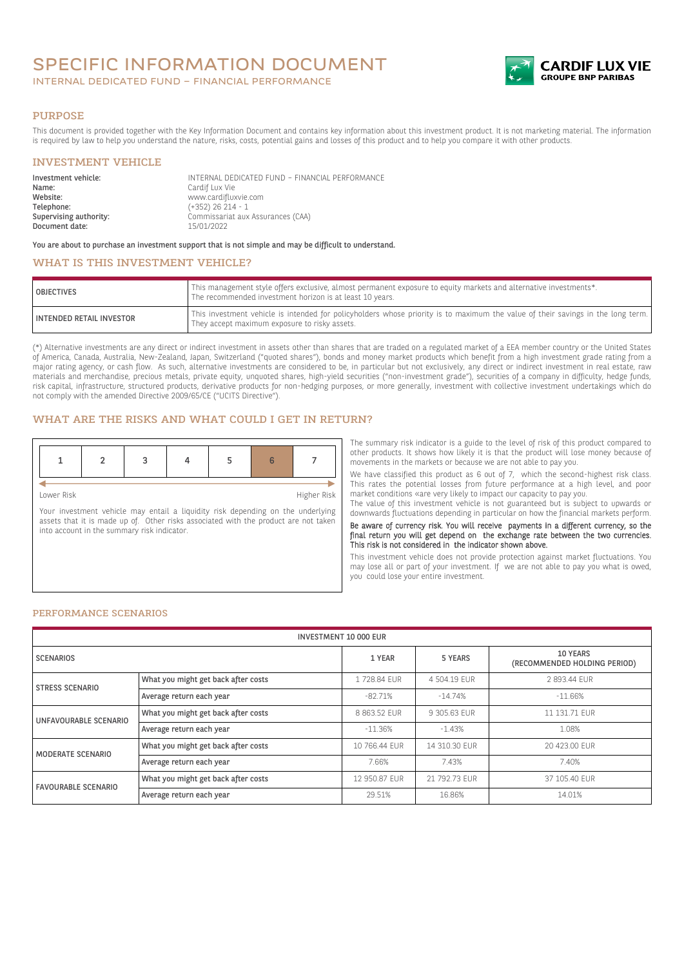# SPECIFIC INFORMATION DOCUMENT

INTERNAL DEDICATED FUND – FINANCIAL PERFORMANCE



### PURPOSE

This document is provided together with the Key Information Document and contains key information about this investment product. It is not marketing material. The information is required by law to help you understand the nature, risks, costs, potential gains and losses of this product and to help you compare it with other products.

# INVESTMENT VEHICLE

| Investment vehicle:    | INTERNAL DEDICATED FUND - FINANCIAL PERFORMANCE |
|------------------------|-------------------------------------------------|
| Name:                  | Cardif Lux Vie                                  |
| Website:               | www.cardifluxvie.com                            |
| Telephone:             | $(+352)$ 26 214 - 1                             |
| Supervising authority: | Commissariat aux Assurances (CAA)               |
| Document date:         | 15/01/2022                                      |

You are about to purchase an investment support that is not simple and may be difficult to understand.

# WHAT IS THIS INVESTMENT VEHICLE?

| <b>OBJECTIVES</b>               | This management style offers exclusive, almost permanent exposure to equity markets and alternative investments*.<br>The recommended investment horizon is at least 10 years.    |
|---------------------------------|----------------------------------------------------------------------------------------------------------------------------------------------------------------------------------|
| <b>INTENDED RETAIL INVESTOR</b> | This investment vehicle is intended for policyholders whose priority is to maximum the value of their savings in the long term.<br>They accept maximum exposure to risky assets. |

(\*) Alternative investments are any direct or indirect investment in assets other than shares that are traded on a regulated market of a EEA member country or the United States of America, Canada, Australia, New-Zealand, Japan, Switzerland ("quoted shares"), bonds and money market products which benefit from a high investment grade rating from a major rating agency, or cash flow. As such, alternative investments are considered to be, in particular but not exclusively, any direct or indirect investment in real estate, raw materials and merchandise, precious metals, private equity, unquoted shares, high-yield securities ("non-investment grade"), securities of a company in difficulty, hedge funds, risk capital, infrastructure, structured products, derivative products for non-hedging purposes, or more generally, investment with collective investment undertakings which do not comply with the amended Directive 2009/65/CE ("UCITS Directive").

## WHAT ARE THE RISKS AND WHAT COULD I GET IN RETURN?

Lower Risk Higher Risk

Your investment vehicle may entail a liquidity risk depending on the underlying assets that it is made up of. Other risks associated with the product are not taken into account in the summary risk indicator.

The summary risk indicator is a guide to the level of risk of this product compared to other products. It shows how likely it is that the product will lose money because of movements in the markets or because we are not able to pay you.

We have classified this product as 6 out of 7, which the second-highest risk class. This rates the potential losses from future performance at a high level, and poor market conditions «are very likely to impact our capacity to pay you.

The value of this investment vehicle is not guaranteed but is subject to upwards or downwards fluctuations depending in particular on how the financial markets perform.

Be aware of currency risk. You will receive payments in a different currency, so the final return you will get depend on the exchange rate between the two currencies. This risk is not considered in the indicator shown above.

This investment vehicle does not provide protection against market fluctuations. You may lose all or part of your investment. If we are not able to pay you what is owed, you could lose your entire investment.

#### PERFORMANCE SCENARIOS

| <b>INVESTMENT 10 000 EUR</b> |                                     |               |               |                                                 |
|------------------------------|-------------------------------------|---------------|---------------|-------------------------------------------------|
| <b>SCENARIOS</b>             |                                     | 1 YEAR        | 5 YEARS       | <b>10 YEARS</b><br>(RECOMMENDED HOLDING PERIOD) |
| <b>STRESS SCENARIO</b>       | What you might get back after costs | 1728.84 EUR   | 4 504.19 EUR  | 2 893.44 EUR                                    |
|                              | Average return each year            | $-82.71%$     | $-14.74%$     | $-11.66%$                                       |
| UNFAVOURABLE SCENARIO        | What you might get back after costs | 8 863.52 EUR  | 9 305.63 EUR  | 11 131.71 EUR                                   |
|                              | Average return each year            | $-11.36\%$    | $-1.43%$      | 1.08%                                           |
| MODERATE SCENARIO            | What you might get back after costs | 10 766.44 EUR | 14 310.30 EUR | 20 423,00 EUR                                   |
|                              | Average return each year            | 7.66%         | 7.43%         | 7.40%                                           |
| <b>FAVOURABLE SCENARIO</b>   | What you might get back after costs | 12 950.87 EUR | 21 792.73 FUR | 37 105.40 EUR                                   |
|                              | Average return each year            | 29.51%        | 16.86%        | 14.01%                                          |